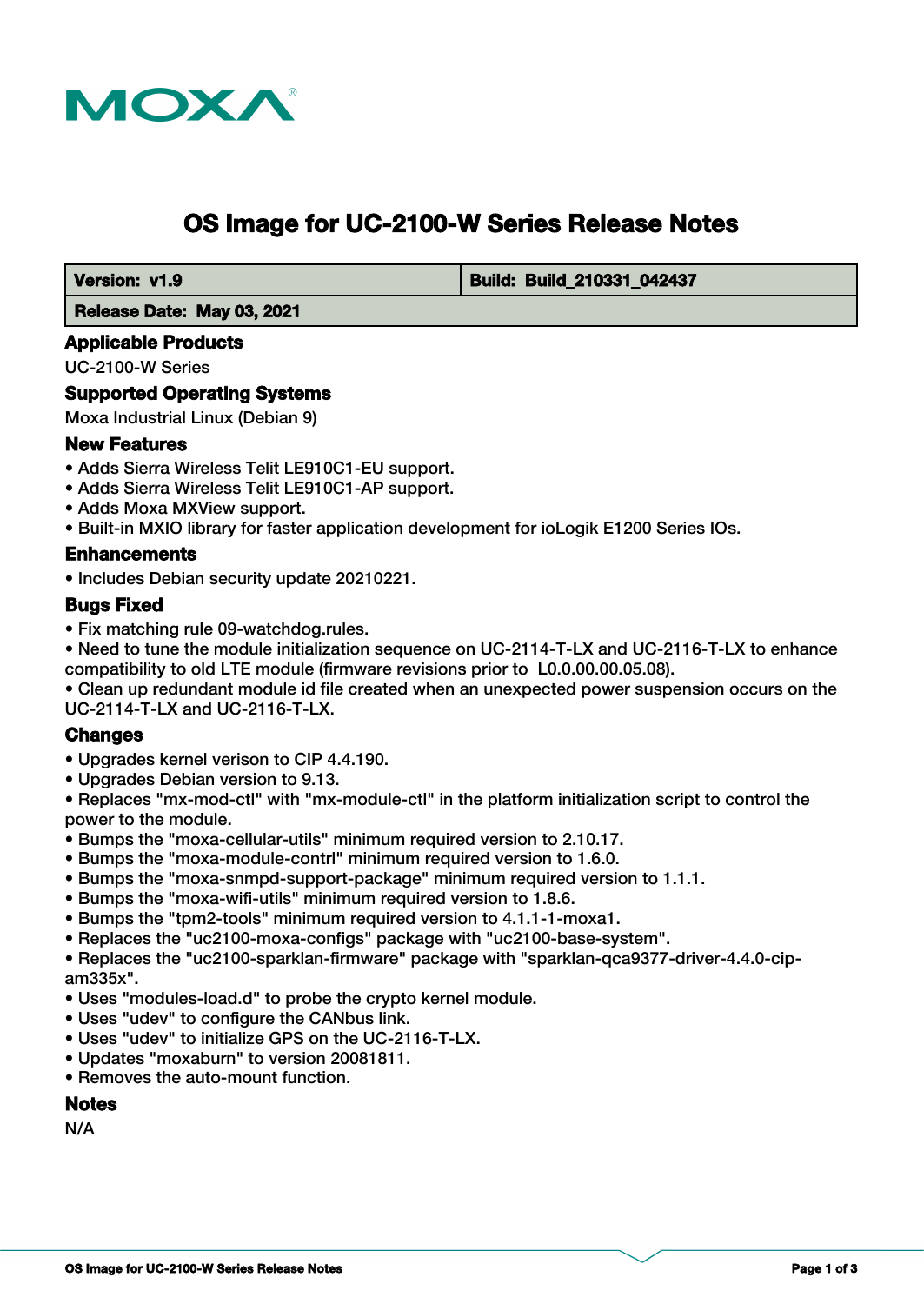

# **OS Image for UC-2100-W Series Release Notes**

 **Version: v1.9 Build: Build: Build: Build: 210331 042437** 

#### **Release Date: May 03, 2021**

#### **Applicable Products**

UC-2100-W Series

### **Supported Operating Systems**

Moxa Industrial Linux (Debian 9)

### **New Features**

- Adds Sierra Wireless Telit LE910C1-EU support.
- Adds Sierra Wireless Telit LE910C1-AP support.
- Adds Moxa MXView support.
- Built-in MXIO library for faster application development for ioLogik E1200 Series IOs.

### **Enhancements**

• Includes Debian security update 20210221.

### **Bugs Fixed**

• Fix matching rule 09-watchdog.rules.

• Need to tune the module initialization sequence on UC-2114-T-LX and UC-2116-T-LX to enhance compatibility to old LTE module (firmware revisions prior to L0.0.00.00.05.08).

• Clean up redundant module id file created when an unexpected power suspension occurs on the UC-2114-T-LX and UC-2116-T-LX.

#### **Changes**

- Upgrades kernel verison to CIP 4.4.190.
- Upgrades Debian version to 9.13.

• Replaces "mx-mod-ctl" with "mx-module-ctl" in the platform initialization script to control the power to the module.

- Bumps the "moxa-cellular-utils" minimum required version to 2.10.17.
- Bumps the "moxa-module-contrl" minimum required version to 1.6.0.
- Bumps the "moxa-snmpd-support-package" minimum required version to 1.1.1.
- Bumps the "moxa-wifi-utils" minimum required version to 1.8.6.
- Bumps the "tpm2-tools" minimum required version to 4.1.1-1-moxa1.
- Replaces the "uc2100-moxa-configs" package with "uc2100-base-system".

• Replaces the "uc2100-sparklan-firmware" package with "sparklan-qca9377-driver-4.4.0-cipam335x".

- Uses "modules-load.d" to probe the crypto kernel module.
- Uses "udev" to configure the CANbus link.
- Uses "udev" to initialize GPS on the UC-2116-T-LX.
- Updates "moxaburn" to version 20081811.
- Removes the auto-mount function.

### **Notes**

N/A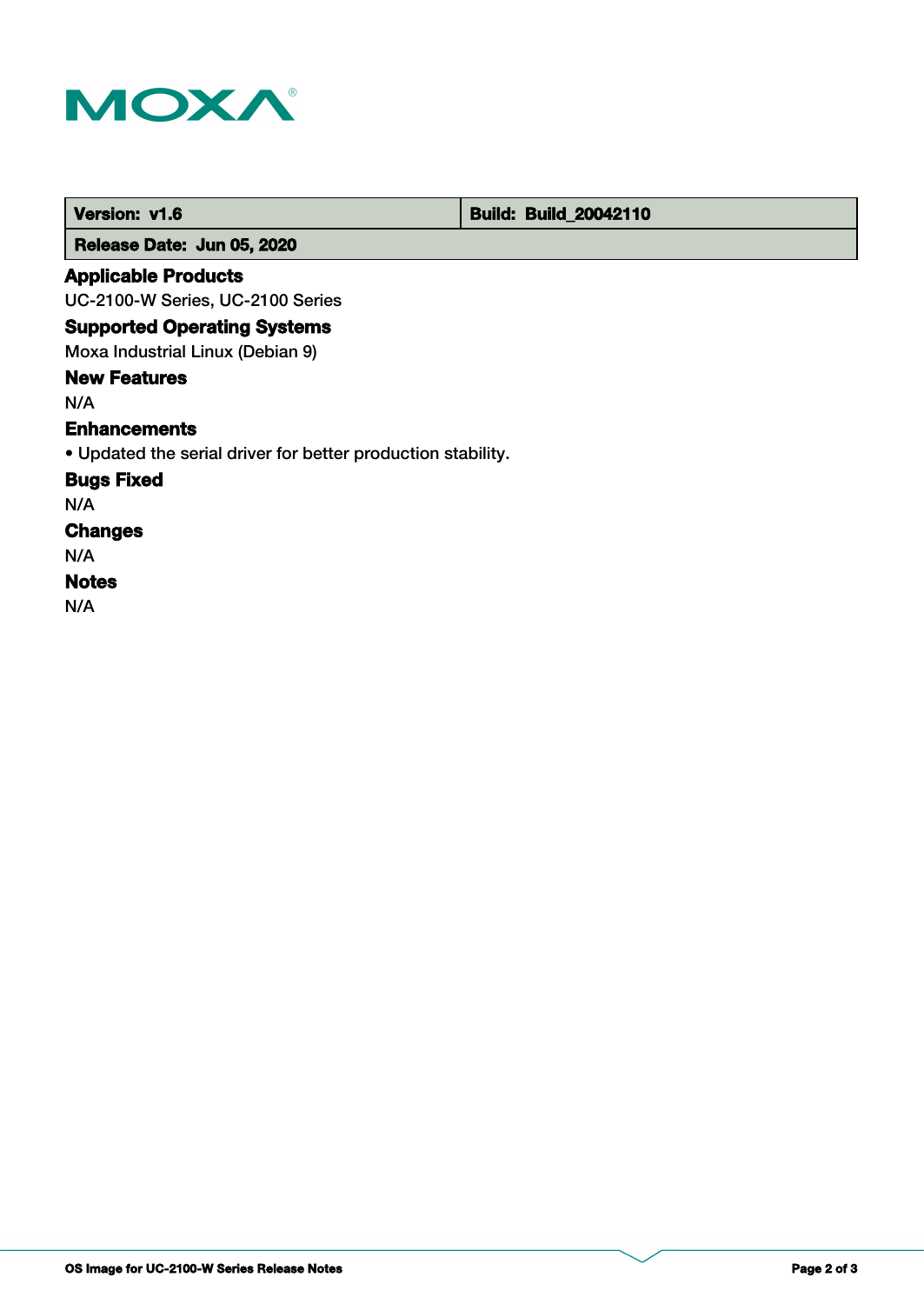

 **Version: v1.6 Build: Build: Build: 20042110** 

 **Release Date: Jun 05, 2020**

### **Applicable Products**

UC-2100-W Series, UC-2100 Series

### **Supported Operating Systems**

Moxa Industrial Linux (Debian 9)

### **New Features**

N/A

### **Enhancements**

• Updated the serial driver for better production stability.

### **Bugs Fixed**

N/A

## **Changes**

N/A

### **Notes**

N/A